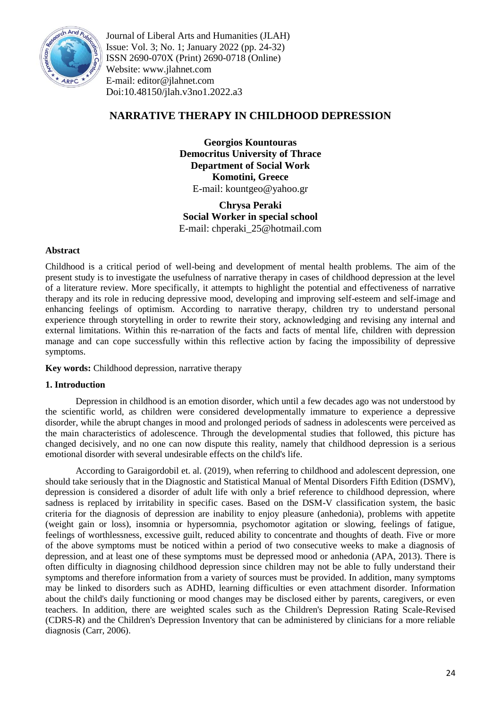

Journal of Liberal Arts and Humanities (JLAH) Issue: Vol. 3; No. 1; January 2022 (pp. 24-32) ISSN 2690-070X (Print) 2690-0718 (Online) Website: www.jlahnet.com E-mail: editor@jlahnet.com Doi:10.48150/jlah.v3no1.2022.a3

# **NARRATIVE THERAPY IN CHILDHOOD DEPRESSION**

**Georgios Kountouras Democritus University of Thrace Department of Social Work Komotini, Greece** E-mail: kountgeo@yahoo.gr

**Chrysa Peraki Social Worker in special school** E-mail: chperaki\_25@hotmail.com

## **Abstract**

Childhood is a critical period of well-being and development of mental health problems. The aim of the present study is to investigate the usefulness of narrative therapy in cases of childhood depression at the level of a literature review. More specifically, it attempts to highlight the potential and effectiveness of narrative therapy and its role in reducing depressive mood, developing and improving self-esteem and self-image and enhancing feelings of optimism. According to narrative therapy, children try to understand personal experience through storytelling in order to rewrite their story, acknowledging and revising any internal and external limitations. Within this re-narration of the facts and facts of mental life, children with depression manage and can cope successfully within this reflective action by facing the impossibility of depressive symptoms.

**Key words:** Childhood depression, narrative therapy

## **1. Introduction**

Depression in childhood is an emotion disorder, which until a few decades ago was not understood by the scientific world, as children were considered developmentally immature to experience a depressive disorder, while the abrupt changes in mood and prolonged periods of sadness in adolescents were perceived as the main characteristics of adolescence. Through the developmental studies that followed, this picture has changed decisively, and no one can now dispute this reality, namely that childhood depression is a serious emotional disorder with several undesirable effects on the child's life.

According to Garaigordobil et. al. (2019), when referring to childhood and adolescent depression, one should take seriously that in the Diagnostic and Statistical Manual of Mental Disorders Fifth Edition (DSMV), depression is considered a disorder of adult life with only a brief reference to childhood depression, where sadness is replaced by irritability in specific cases. Based on the DSM-V classification system, the basic criteria for the diagnosis of depression are inability to enjoy pleasure (anhedonia), problems with appetite (weight gain or loss), insomnia or hypersomnia, psychomotor agitation or slowing, feelings of fatigue, feelings of worthlessness, excessive guilt, reduced ability to concentrate and thoughts of death. Five or more of the above symptoms must be noticed within a period of two consecutive weeks to make a diagnosis of depression, and at least one of these symptoms must be depressed mood or anhedonia (APA, 2013). There is often difficulty in diagnosing childhood depression since children may not be able to fully understand their symptoms and therefore information from a variety of sources must be provided. In addition, many symptoms may be linked to disorders such as ADHD, learning difficulties or even attachment disorder. Information about the child's daily functioning or mood changes may be disclosed either by parents, caregivers, or even teachers. In addition, there are weighted scales such as the Children's Depression Rating Scale-Revised (CDRS-R) and the Children's Depression Inventory that can be administered by clinicians for a more reliable diagnosis (Carr, 2006).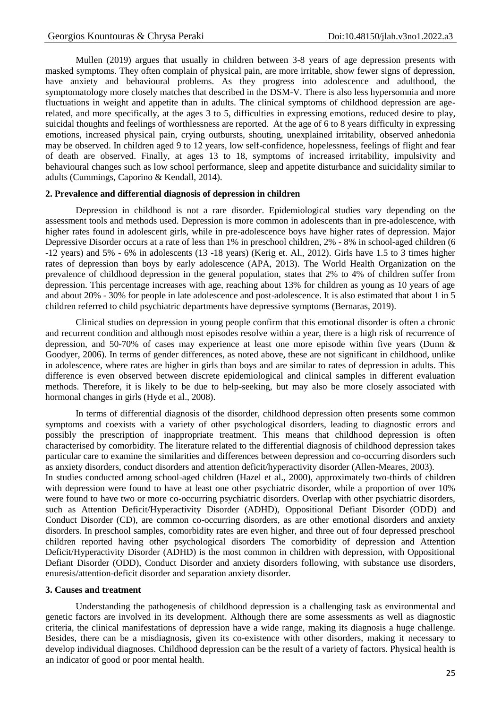Mullen (2019) argues that usually in children between 3-8 years of age depression presents with masked symptoms. They often complain of physical pain, are more irritable, show fewer signs of depression, have anxiety and behavioural problems. As they progress into adolescence and adulthood, the symptomatology more closely matches that described in the DSM-V. There is also less hypersomnia and more fluctuations in weight and appetite than in adults. The clinical symptoms of childhood depression are agerelated, and more specifically, at the ages 3 to 5, difficulties in expressing emotions, reduced desire to play, suicidal thoughts and feelings of worthlessness are reported. At the age of 6 to 8 years difficulty in expressing emotions, increased physical pain, crying outbursts, shouting, unexplained irritability, observed anhedonia may be observed. In children aged 9 to 12 years, low self-confidence, hopelessness, feelings of flight and fear of death are observed. Finally, at ages 13 to 18, symptoms of increased irritability, impulsivity and behavioural changes such as low school performance, sleep and appetite disturbance and suicidality similar to adults (Cummings, Caporino & Kendall, 2014).

#### **2. Prevalence and differential diagnosis of depression in children**

Depression in childhood is not a rare disorder. Epidemiological studies vary depending on the assessment tools and methods used. Depression is more common in adolescents than in pre-adolescence, with higher rates found in adolescent girls, while in pre-adolescence boys have higher rates of depression. Major Depressive Disorder occurs at a rate of less than 1% in preschool children, 2% - 8% in school-aged children (6 -12 years) and 5% - 6% in adolescents (13 -18 years) (Kerig et. Al., 2012). Girls have 1.5 to 3 times higher rates of depression than boys by early adolescence (APA, 2013). The World Health Organization on the prevalence of childhood depression in the general population, states that 2% to 4% of children suffer from depression. This percentage increases with age, reaching about 13% for children as young as 10 years of age and about 20% - 30% for people in late adolescence and post-adolescence. It is also estimated that about 1 in 5 children referred to child psychiatric departments have depressive symptoms (Bernaras, 2019).

Clinical studies on depression in young people confirm that this emotional disorder is often a chronic and recurrent condition and although most episodes resolve within a year, there is a high risk of recurrence of depression, and 50-70% of cases may experience at least one more episode within five years (Dunn & Goodyer, 2006). In terms of gender differences, as noted above, these are not significant in childhood, unlike in adolescence, where rates are higher in girls than boys and are similar to rates of depression in adults. This difference is even observed between discrete epidemiological and clinical samples in different evaluation methods. Therefore, it is likely to be due to help-seeking, but may also be more closely associated with hormonal changes in girls (Hyde et al., 2008).

In terms of differential diagnosis of the disorder, childhood depression often presents some common symptoms and coexists with a variety of other psychological disorders, leading to diagnostic errors and possibly the prescription of inappropriate treatment. This means that childhood depression is often characterised by comorbidity. The literature related to the differential diagnosis of childhood depression takes particular care to examine the similarities and differences between depression and co-occurring disorders such as anxiety disorders, conduct disorders and attention deficit/hyperactivity disorder (Allen-Meares, 2003).

In studies conducted among school-aged children (Hazel et al., 2000), approximately two-thirds of children with depression were found to have at least one other psychiatric disorder, while a proportion of over 10% were found to have two or more co-occurring psychiatric disorders. Overlap with other psychiatric disorders, such as Attention Deficit/Hyperactivity Disorder (ADHD), Oppositional Defiant Disorder (ODD) and Conduct Disorder (CD), are common co-occurring disorders, as are other emotional disorders and anxiety disorders. In preschool samples, comorbidity rates are even higher, and three out of four depressed preschool children reported having other psychological disorders The comorbidity of depression and Attention Deficit/Hyperactivity Disorder (ADHD) is the most common in children with depression, with Oppositional Defiant Disorder (ODD), Conduct Disorder and anxiety disorders following, with substance use disorders, enuresis/attention-deficit disorder and separation anxiety disorder.

#### **3. Causes and treatment**

Understanding the pathogenesis of childhood depression is a challenging task as environmental and genetic factors are involved in its development. Although there are some assessments as well as diagnostic criteria, the clinical manifestations of depression have a wide range, making its diagnosis a huge challenge. Besides, there can be a misdiagnosis, given its co-existence with other disorders, making it necessary to develop individual diagnoses. Childhood depression can be the result of a variety of factors. Physical health is an indicator of good or poor mental health.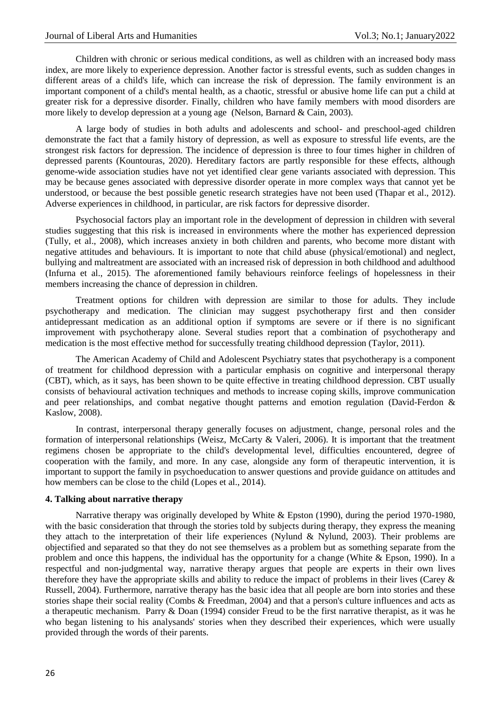Children with chronic or serious medical conditions, as well as children with an increased body mass index, are more likely to experience depression. Another factor is stressful events, such as sudden changes in different areas of a child's life, which can increase the risk of depression. The family environment is an important component of a child's mental health, as a chaotic, stressful or abusive home life can put a child at greater risk for a depressive disorder. Finally, children who have family members with mood disorders are more likely to develop depression at a young age (Nelson, Barnard & Cain, 2003).

A large body of studies in both adults and adolescents and school- and preschool-aged children demonstrate the fact that a family history of depression, as well as exposure to stressful life events, are the strongest risk factors for depression. The incidence of depression is three to four times higher in children of depressed parents (Kountouras, 2020). Hereditary factors are partly responsible for these effects, although genome-wide association studies have not yet identified clear gene variants associated with depression. This may be because genes associated with depressive disorder operate in more complex ways that cannot yet be understood, or because the best possible genetic research strategies have not been used (Thapar et al., 2012). Adverse experiences in childhood, in particular, are risk factors for depressive disorder.

Psychosocial factors play an important role in the development of depression in children with several studies suggesting that this risk is increased in environments where the mother has experienced depression (Tully, et al., 2008), which increases anxiety in both children and parents, who become more distant with negative attitudes and behaviours. It is important to note that child abuse (physical/emotional) and neglect, bullying and maltreatment are associated with an increased risk of depression in both childhood and adulthood (Infurna et al., 2015). The aforementioned family behaviours reinforce feelings of hopelessness in their members increasing the chance of depression in children.

Treatment options for children with depression are similar to those for adults. They include psychotherapy and medication. The clinician may suggest psychotherapy first and then consider antidepressant medication as an additional option if symptoms are severe or if there is no significant improvement with psychotherapy alone. Several studies report that a combination of psychotherapy and medication is the most effective method for successfully treating childhood depression (Taylor, 2011).

The American Academy of Child and Adolescent Psychiatry states that psychotherapy is a component of treatment for childhood depression with a particular emphasis on cognitive and interpersonal therapy (CBT), which, as it says, has been shown to be quite effective in treating childhood depression. CBT usually consists of behavioural activation techniques and methods to increase coping skills, improve communication and peer relationships, and combat negative thought patterns and emotion regulation (David-Ferdon & Kaslow, 2008).

In contrast, interpersonal therapy generally focuses on adjustment, change, personal roles and the formation of interpersonal relationships (Weisz, McCarty & Valeri, 2006). It is important that the treatment regimens chosen be appropriate to the child's developmental level, difficulties encountered, degree of cooperation with the family, and more. In any case, alongside any form of therapeutic intervention, it is important to support the family in psychoeducation to answer questions and provide guidance on attitudes and how members can be close to the child (Lopes et al., 2014).

#### **4. Talking about narrative therapy**

Narrative therapy was originally developed by White & Epston (1990), during the period 1970-1980, with the basic consideration that through the stories told by subjects during therapy, they express the meaning they attach to the interpretation of their life experiences (Nylund & Nylund, 2003). Their problems are objectified and separated so that they do not see themselves as a problem but as something separate from the problem and once this happens, the individual has the opportunity for a change (White & Epson, 1990). In a respectful and non-judgmental way, narrative therapy argues that people are experts in their own lives therefore they have the appropriate skills and ability to reduce the impact of problems in their lives (Carey & Russell, 2004). Furthermore, narrative therapy has the basic idea that all people are born into stories and these stories shape their social reality (Combs & Freedman, 2004) and that a person's culture influences and acts as a therapeutic mechanism. Parry & Doan (1994) consider Freud to be the first narrative therapist, as it was he who began listening to his analysands' stories when they described their experiences, which were usually provided through the words of their parents.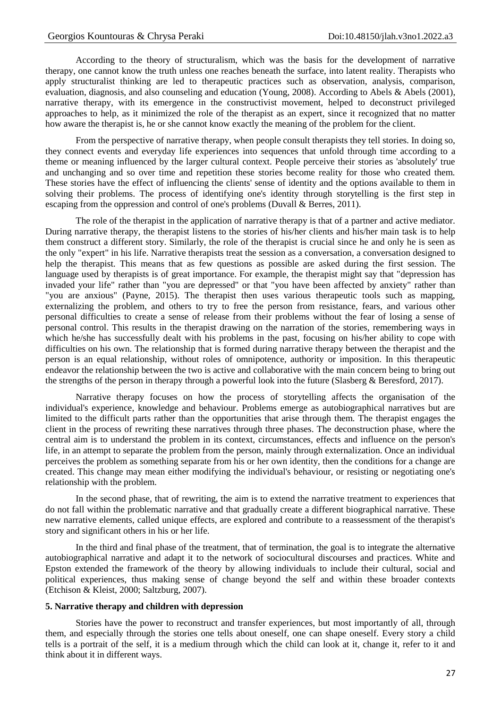According to the theory of structuralism, which was the basis for the development of narrative therapy, one cannot know the truth unless one reaches beneath the surface, into latent reality. Therapists who apply structuralist thinking are led to therapeutic practices such as observation, analysis, comparison, evaluation, diagnosis, and also counseling and education (Young, 2008). According to Abels & Abels (2001), narrative therapy, with its emergence in the constructivist movement, helped to deconstruct privileged approaches to help, as it minimized the role of the therapist as an expert, since it recognized that no matter how aware the therapist is, he or she cannot know exactly the meaning of the problem for the client.

From the perspective of narrative therapy, when people consult therapists they tell stories. In doing so, they connect events and everyday life experiences into sequences that unfold through time according to a theme or meaning influenced by the larger cultural context. People perceive their stories as 'absolutely' true and unchanging and so over time and repetition these stories become reality for those who created them. These stories have the effect of influencing the clients' sense of identity and the options available to them in solving their problems. The process of identifying one's identity through storytelling is the first step in escaping from the oppression and control of one's problems (Duvall & Berres, 2011).

The role of the therapist in the application of narrative therapy is that of a partner and active mediator. During narrative therapy, the therapist listens to the stories of his/her clients and his/her main task is to help them construct a different story. Similarly, the role of the therapist is crucial since he and only he is seen as the only "expert" in his life. Narrative therapists treat the session as a conversation, a conversation designed to help the therapist. This means that as few questions as possible are asked during the first session. The language used by therapists is of great importance. For example, the therapist might say that "depression has invaded your life" rather than "you are depressed" or that "you have been affected by anxiety" rather than "you are anxious" (Payne, 2015). The therapist then uses various therapeutic tools such as mapping, externalizing the problem, and others to try to free the person from resistance, fears, and various other personal difficulties to create a sense of release from their problems without the fear of losing a sense of personal control. This results in the therapist drawing on the narration of the stories, remembering ways in which he/she has successfully dealt with his problems in the past, focusing on his/her ability to cope with difficulties on his own. The relationship that is formed during narrative therapy between the therapist and the person is an equal relationship, without roles of omnipotence, authority or imposition. In this therapeutic endeavor the relationship between the two is active and collaborative with the main concern being to bring out the strengths of the person in therapy through a powerful look into the future (Slasberg & Beresford, 2017).

Narrative therapy focuses on how the process of storytelling affects the organisation of the individual's experience, knowledge and behaviour. Problems emerge as autobiographical narratives but are limited to the difficult parts rather than the opportunities that arise through them. The therapist engages the client in the process of rewriting these narratives through three phases. The deconstruction phase, where the central aim is to understand the problem in its context, circumstances, effects and influence on the person's life, in an attempt to separate the problem from the person, mainly through externalization. Once an individual perceives the problem as something separate from his or her own identity, then the conditions for a change are created. This change may mean either modifying the individual's behaviour, or resisting or negotiating one's relationship with the problem.

In the second phase, that of rewriting, the aim is to extend the narrative treatment to experiences that do not fall within the problematic narrative and that gradually create a different biographical narrative. These new narrative elements, called unique effects, are explored and contribute to a reassessment of the therapist's story and significant others in his or her life.

In the third and final phase of the treatment, that of termination, the goal is to integrate the alternative autobiographical narrative and adapt it to the network of sociocultural discourses and practices. White and Epston extended the framework of the theory by allowing individuals to include their cultural, social and political experiences, thus making sense of change beyond the self and within these broader contexts (Etchison & Kleist, 2000; Saltzburg, 2007).

## **5. Narrative therapy and children with depression**

Stories have the power to reconstruct and transfer experiences, but most importantly of all, through them, and especially through the stories one tells about oneself, one can shape oneself. Every story a child tells is a portrait of the self, it is a medium through which the child can look at it, change it, refer to it and think about it in different ways.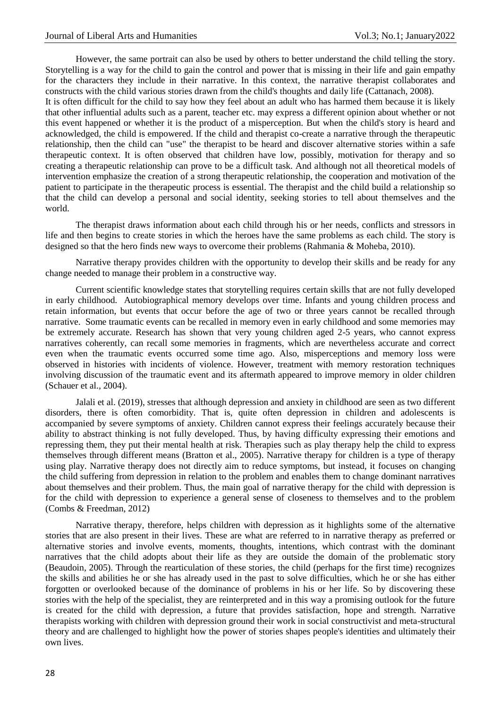However, the same portrait can also be used by others to better understand the child telling the story. Storytelling is a way for the child to gain the control and power that is missing in their life and gain empathy for the characters they include in their narrative. In this context, the narrative therapist collaborates and constructs with the child various stories drawn from the child's thoughts and daily life (Cattanach, 2008).

It is often difficult for the child to say how they feel about an adult who has harmed them because it is likely that other influential adults such as a parent, teacher etc. may express a different opinion about whether or not this event happened or whether it is the product of a misperception. But when the child's story is heard and acknowledged, the child is empowered. If the child and therapist co-create a narrative through the therapeutic relationship, then the child can "use" the therapist to be heard and discover alternative stories within a safe therapeutic context. It is often observed that children have low, possibly, motivation for therapy and so creating a therapeutic relationship can prove to be a difficult task. And although not all theoretical models of intervention emphasize the creation of a strong therapeutic relationship, the cooperation and motivation of the patient to participate in the therapeutic process is essential. The therapist and the child build a relationship so that the child can develop a personal and social identity, seeking stories to tell about themselves and the world.

The therapist draws information about each child through his or her needs, conflicts and stressors in life and then begins to create stories in which the heroes have the same problems as each child. The story is designed so that the hero finds new ways to overcome their problems (Rahmania & Moheba, 2010).

Narrative therapy provides children with the opportunity to develop their skills and be ready for any change needed to manage their problem in a constructive way.

Current scientific knowledge states that storytelling requires certain skills that are not fully developed in early childhood. Autobiographical memory develops over time. Infants and young children process and retain information, but events that occur before the age of two or three years cannot be recalled through narrative. Some traumatic events can be recalled in memory even in early childhood and some memories may be extremely accurate. Research has shown that very young children aged 2-5 years, who cannot express narratives coherently, can recall some memories in fragments, which are nevertheless accurate and correct even when the traumatic events occurred some time ago. Also, misperceptions and memory loss were observed in histories with incidents of violence. However, treatment with memory restoration techniques involving discussion of the traumatic event and its aftermath appeared to improve memory in older children (Schauer et al., 2004).

Jalali et al. (2019), stresses that although depression and anxiety in childhood are seen as two different disorders, there is often comorbidity. That is, quite often depression in children and adolescents is accompanied by severe symptoms of anxiety. Children cannot express their feelings accurately because their ability to abstract thinking is not fully developed. Thus, by having difficulty expressing their emotions and repressing them, they put their mental health at risk. Therapies such as play therapy help the child to express themselves through different means (Bratton et al., 2005). Narrative therapy for children is a type of therapy using play. Narrative therapy does not directly aim to reduce symptoms, but instead, it focuses on changing the child suffering from depression in relation to the problem and enables them to change dominant narratives about themselves and their problem. Thus, the main goal of narrative therapy for the child with depression is for the child with depression to experience a general sense of closeness to themselves and to the problem (Combs & Freedman, 2012)

Narrative therapy, therefore, helps children with depression as it highlights some of the alternative stories that are also present in their lives. These are what are referred to in narrative therapy as preferred or alternative stories and involve events, moments, thoughts, intentions, which contrast with the dominant narratives that the child adopts about their life as they are outside the domain of the problematic story (Beaudoin, 2005). Through the rearticulation of these stories, the child (perhaps for the first time) recognizes the skills and abilities he or she has already used in the past to solve difficulties, which he or she has either forgotten or overlooked because of the dominance of problems in his or her life. So by discovering these stories with the help of the specialist, they are reinterpreted and in this way a promising outlook for the future is created for the child with depression, a future that provides satisfaction, hope and strength. Narrative therapists working with children with depression ground their work in social constructivist and meta-structural theory and are challenged to highlight how the power of stories shapes people's identities and ultimately their own lives.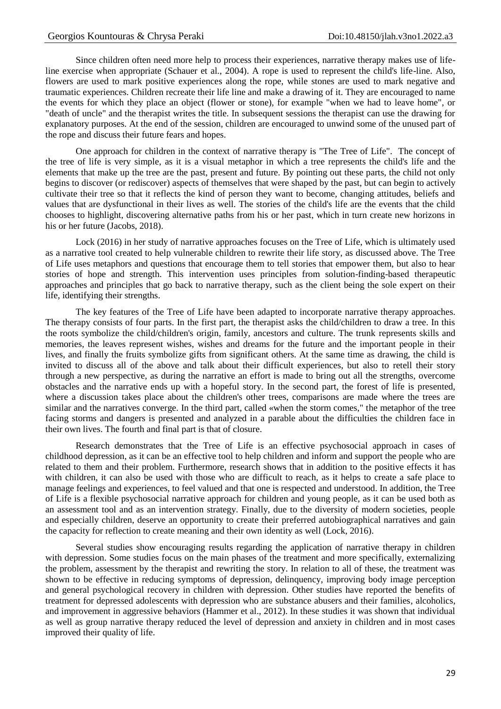Since children often need more help to process their experiences, narrative therapy makes use of lifeline exercise when appropriate (Schauer et al., 2004). A rope is used to represent the child's life-line. Also, flowers are used to mark positive experiences along the rope, while stones are used to mark negative and traumatic experiences. Children recreate their life line and make a drawing of it. They are encouraged to name the events for which they place an object (flower or stone), for example "when we had to leave home", or "death of uncle" and the therapist writes the title. In subsequent sessions the therapist can use the drawing for explanatory purposes. At the end of the session, children are encouraged to unwind some of the unused part of the rope and discuss their future fears and hopes.

One approach for children in the context of narrative therapy is "The Tree of Life". The concept of the tree of life is very simple, as it is a visual metaphor in which a tree represents the child's life and the elements that make up the tree are the past, present and future. By pointing out these parts, the child not only begins to discover (or rediscover) aspects of themselves that were shaped by the past, but can begin to actively cultivate their tree so that it reflects the kind of person they want to become, changing attitudes, beliefs and values that are dysfunctional in their lives as well. The stories of the child's life are the events that the child chooses to highlight, discovering alternative paths from his or her past, which in turn create new horizons in his or her future (Jacobs, 2018).

Lock (2016) in her study of narrative approaches focuses on the Tree of Life, which is ultimately used as a narrative tool created to help vulnerable children to rewrite their life story, as discussed above. The Tree of Life uses metaphors and questions that encourage them to tell stories that empower them, but also to hear stories of hope and strength. This intervention uses principles from solution-finding-based therapeutic approaches and principles that go back to narrative therapy, such as the client being the sole expert on their life, identifying their strengths.

The key features of the Tree of Life have been adapted to incorporate narrative therapy approaches. The therapy consists of four parts. In the first part, the therapist asks the child/children to draw a tree. In this the roots symbolize the child/children's origin, family, ancestors and culture. The trunk represents skills and memories, the leaves represent wishes, wishes and dreams for the future and the important people in their lives, and finally the fruits symbolize gifts from significant others. At the same time as drawing, the child is invited to discuss all of the above and talk about their difficult experiences, but also to retell their story through a new perspective, as during the narrative an effort is made to bring out all the strengths, overcome obstacles and the narrative ends up with a hopeful story. In the second part, the forest of life is presented, where a discussion takes place about the children's other trees, comparisons are made where the trees are similar and the narratives converge. In the third part, called «when the storm comes," the metaphor of the tree facing storms and dangers is presented and analyzed in a parable about the difficulties the children face in their own lives. The fourth and final part is that of closure.

Research demonstrates that the Tree of Life is an effective psychosocial approach in cases of childhood depression, as it can be an effective tool to help children and inform and support the people who are related to them and their problem. Furthermore, research shows that in addition to the positive effects it has with children, it can also be used with those who are difficult to reach, as it helps to create a safe place to manage feelings and experiences, to feel valued and that one is respected and understood. In addition, the Tree of Life is a flexible psychosocial narrative approach for children and young people, as it can be used both as an assessment tool and as an intervention strategy. Finally, due to the diversity of modern societies, people and especially children, deserve an opportunity to create their preferred autobiographical narratives and gain the capacity for reflection to create meaning and their own identity as well (Lock, 2016).

Several studies show encouraging results regarding the application of narrative therapy in children with depression. Some studies focus on the main phases of the treatment and more specifically, externalizing the problem, assessment by the therapist and rewriting the story. In relation to all of these, the treatment was shown to be effective in reducing symptoms of depression, delinquency, improving body image perception and general psychological recovery in children with depression. Other studies have reported the benefits of treatment for depressed adolescents with depression who are substance abusers and their families, alcoholics, and improvement in aggressive behaviors (Hammer et al., 2012). In these studies it was shown that individual as well as group narrative therapy reduced the level of depression and anxiety in children and in most cases improved their quality of life.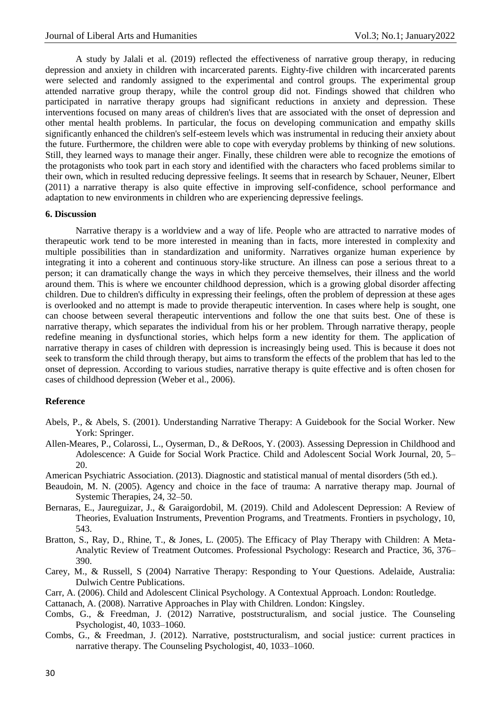A study by Jalali et al. (2019) reflected the effectiveness of narrative group therapy, in reducing depression and anxiety in children with incarcerated parents. Eighty-five children with incarcerated parents were selected and randomly assigned to the experimental and control groups. The experimental group attended narrative group therapy, while the control group did not. Findings showed that children who participated in narrative therapy groups had significant reductions in anxiety and depression. These interventions focused on many areas of children's lives that are associated with the onset of depression and other mental health problems. In particular, the focus on developing communication and empathy skills significantly enhanced the children's self-esteem levels which was instrumental in reducing their anxiety about the future. Furthermore, the children were able to cope with everyday problems by thinking of new solutions. Still, they learned ways to manage their anger. Finally, these children were able to recognize the emotions of the protagonists who took part in each story and identified with the characters who faced problems similar to their own, which in resulted reducing depressive feelings. It seems that in research by Schauer, Neuner, Elbert (2011) a narrative therapy is also quite effective in improving self-confidence, school performance and adaptation to new environments in children who are experiencing depressive feelings.

#### **6. Discussion**

Narrative therapy is a worldview and a way of life. People who are attracted to narrative modes of therapeutic work tend to be more interested in meaning than in facts, more interested in complexity and multiple possibilities than in standardization and uniformity. Narratives organize human experience by integrating it into a coherent and continuous story-like structure. An illness can pose a serious threat to a person; it can dramatically change the ways in which they perceive themselves, their illness and the world around them. This is where we encounter childhood depression, which is a growing global disorder affecting children. Due to children's difficulty in expressing their feelings, often the problem of depression at these ages is overlooked and no attempt is made to provide therapeutic intervention. In cases where help is sought, one can choose between several therapeutic interventions and follow the one that suits best. One of these is narrative therapy, which separates the individual from his or her problem. Through narrative therapy, people redefine meaning in dysfunctional stories, which helps form a new identity for them. The application of narrative therapy in cases of children with depression is increasingly being used. This is because it does not seek to transform the child through therapy, but aims to transform the effects of the problem that has led to the onset of depression. According to various studies, narrative therapy is quite effective and is often chosen for cases of childhood depression (Weber et al., 2006).

#### **Reference**

- Abels, P., & Abels, S. (2001). Understanding Narrative Therapy: A Guidebook for the Social Worker. New York: Springer.
- Allen-Meares, P., Colarossi, L., Oyserman, D., & DeRoos, Y. (2003). Assessing Depression in Childhood and Adolescence: A Guide for Social Work Practice. Child and Adolescent Social Work Journal, 20, 5– 20.

American Psychiatric Association. (2013). Diagnostic and statistical manual of mental disorders (5th ed.).

- Beaudoin, M. N. (2005). Agency and choice in the face of trauma: A narrative therapy map. Journal of Systemic Therapies, 24, 32–50.
- Bernaras, E., Jaureguizar, J., & Garaigordobil, M. (2019). Child and Adolescent Depression: A Review of Theories, Evaluation Instruments, Prevention Programs, and Treatments. Frontiers in psychology, 10, 543.
- Bratton, S., Ray, D., Rhine, T., & Jones, L. (2005). The Efficacy of Play Therapy with Children: A Meta-Analytic Review of Treatment Outcomes. Professional Psychology: Research and Practice, 36, 376– 390.
- Carey, M., & Russell, S (2004) Narrative Therapy: Responding to Your Questions. Adelaide, Australia: Dulwich Centre Publications.
- Carr, A. (2006). Child and Adolescent Clinical Psychology. A Contextual Approach. London: Routledge.

Cattanach, A. (2008). Narrative Approaches in Play with Children. London: Kingsley.

- Combs, G., & Freedman, J. (2012) Narrative, poststructuralism, and social justice. The Counseling Psychologist, 40, 1033–1060.
- Combs, G., & Freedman, J. (2012). Narrative, poststructuralism, and social justice: current practices in narrative therapy. The Counseling Psychologist, 40, 1033–1060.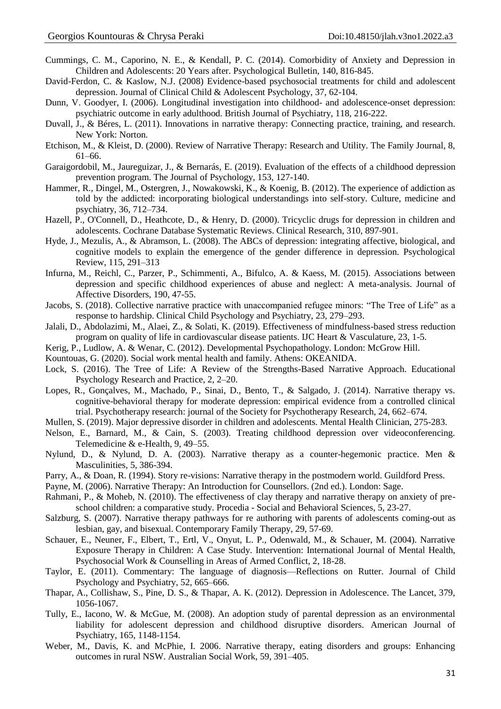- Cummings, C. M., Caporino, N. E., & Kendall, P. C. (2014). Comorbidity of Anxiety and Depression in Children and Adolescents: 20 Years after. Psychological Bulletin, 140, 816-845.
- David-Ferdon, C. & Kaslow, N.J. (2008) Evidence-based psychosocial treatments for child and adolescent depression. Journal of Clinical Child & Adolescent Psychology, 37, 62-104.
- Dunn, V. Goodyer, I. (2006). Longitudinal investigation into childhood- and adolescence-onset depression: psychiatric outcome in early adulthood. British Journal of Psychiatry, 118, 216-222.
- Duvall, J., & Béres, L. (2011). Innovations in narrative therapy: Connecting practice, training, and research. New York: Norton.
- Etchison, M., & Kleist, D. (2000). Review of Narrative Therapy: Research and Utility. The Family Journal, 8, 61–66.
- Garaigordobil, M., Jaureguizar, J., & Bernarás, E. (2019). Evaluation of the effects of a childhood depression prevention program. The Journal of Psychology, 153, 127-140.
- Hammer, R., Dingel, M., Ostergren, J., Nowakowski, K., & Koenig, B. (2012). The experience of addiction as told by the addicted: incorporating biological understandings into self-story. Culture, medicine and psychiatry, 36, 712–734.
- Hazell, P., O'Connell, D., Heathcote, D., & Henry, D. (2000). Tricyclic drugs for depression in children and adolescents. Cochrane Database Systematic Reviews. Clinical Research, 310, 897-901.
- Hyde, J., Mezulis, A., & Abramson, L. (2008). The ABCs of depression: integrating affective, biological, and cognitive models to explain the emergence of the gender difference in depression. Psychological Review, 115, 291–313
- Infurna, M., Reichl, C., Parzer, P., Schimmenti, A., Bifulco, A. & Kaess, M. (2015). Associations between depression and specific childhood experiences of abuse and neglect: A meta-analysis. Journal of Affective Disorders, 190, 47-55.
- Jacobs, S. (2018). Collective narrative practice with unaccompanied refugee minors: "The Tree of Life" as a response to hardship. Clinical Child Psychology and Psychiatry, 23, 279–293.
- Jalali, D., Abdolazimi, M., Alaei, Z., & Solati, K. (2019). Effectiveness of mindfulness-based stress reduction program on quality of life in cardiovascular disease patients. IJC Heart & Vasculature, 23, 1-5.
- Kerig, P., Ludlow, A. & Wenar, C. (2012). Developmental Psychopathology. London: McGrow Hill.
- Kountouas, G. (2020). Social work mental health and family. Athens: OKEANIDA.
- Lock, S. (2016). The Tree of Life: A Review of the Strengths-Based Narrative Approach. Educational Psychology Research and Practice, 2, 2–20.
- Lopes, R., Gonçalves, M., Machado, P., Sinai, D., Bento, T., & Salgado, J. (2014). Narrative therapy vs. cognitive-behavioral therapy for moderate depression: empirical evidence from a controlled clinical trial. Psychotherapy research: journal of the Society for Psychotherapy Research, 24, 662–674.
- Mullen, S. (2019). Major depressive disorder in children and adolescents. Mental Health Clinician, 275-283.
- Nelson, E., Barnard, M., & Cain, S. (2003). Treating childhood depression over videoconferencing. Telemedicine & e-Health, 9, 49–55.
- Nylund, D., & Nylund, D. A. (2003). Narrative therapy as a counter-hegemonic practice. Men & Masculinities, 5, 386-394.
- Parry, A., & Doan, R. (1994). Story re-visions: Narrative therapy in the postmodern world. Guildford Press.
- Payne, M. (2006). Narrative Therapy: An Introduction for Counsellors. (2nd ed.). London: Sage.
- Rahmani, P., & Moheb, N. (2010). The effectiveness of clay therapy and narrative therapy on anxiety of preschool children: a comparative study. Procedia - Social and Behavioral Sciences, 5, 23-27.
- Salzburg, S. (2007). Narrative therapy pathways for re authoring with parents of adolescents coming-out as lesbian, gay, and bisexual. Contemporary Family Therapy, 29, 57-69.
- Schauer, E., Neuner, F., Elbert, T., Ertl, V., Onyut, L. P., Odenwald, M., & Schauer, M. (2004). Narrative Exposure Therapy in Children: A Case Study. Intervention: International Journal of Mental Health, Psychosocial Work & Counselling in Areas of Armed Conflict, 2, 18-28.
- Taylor, E. (2011). Commentary: The language of diagnosis—Reflections on Rutter. Journal of Child Psychology and Psychiatry, 52, 665–666.
- Thapar, A., Collishaw, S., Pine, D. S., & Thapar, A. K. (2012). Depression in Adolescence. The Lancet, 379, 1056-1067.
- Tully, E., Iacono, W. & McGue, M. (2008). An adoption study of parental depression as an environmental liability for adolescent depression and childhood disruptive disorders. American Journal of Psychiatry, 165, 1148-1154.
- Weber, M., Davis, K. and McPhie, I. 2006. Narrative therapy, eating disorders and groups: Enhancing outcomes in rural NSW. Australian Social Work, 59, 391–405.